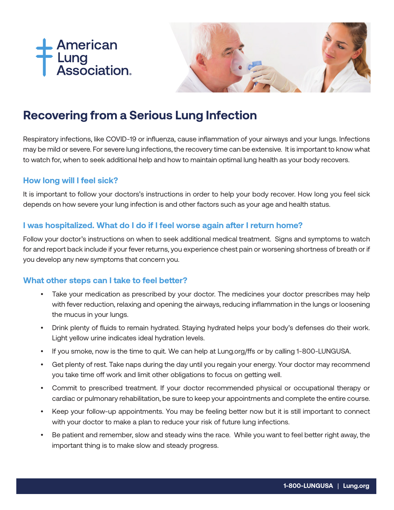



# **Recovering from a Serious Lung Infection**

Respiratory infections, like COVID-19 or influenza, cause inflammation of your airways and your lungs. Infections may be mild or severe. For severe lung infections, the recovery time can be extensive. It is important to know what to watch for, when to seek additional help and how to maintain optimal lung health as your body recovers.

#### **How long will I feel sick?**

It is important to follow your doctors's instructions in order to help your body recover. How long you feel sick depends on how severe your lung infection is and other factors such as your age and health status.

#### **I was hospitalized. What do I do if I feel worse again after I return home?**

Follow your doctor's instructions on when to seek additional medical treatment. Signs and symptoms to watch for and report back include if your fever returns, you experience chest pain or worsening shortness of breath or if you develop any new symptoms that concern you.

#### **What other steps can I take to feel better?**

- Take your medication as prescribed by your doctor. The medicines your doctor prescribes may help with fever reduction, relaxing and opening the airways, reducing inflammation in the lungs or loosening the mucus in your lungs.
- Drink plenty of fluids to remain hydrated. Staying hydrated helps your body's defenses do their work. Light yellow urine indicates ideal hydration levels.
- If you smoke, now is the time to quit. We can help at Lung.org/ffs or by calling 1-800-LUNGUSA.
- Get plenty of rest. Take naps during the day until you regain your energy. Your doctor may recommend you take time off work and limit other obligations to focus on getting well.
- Commit to prescribed treatment. If your doctor recommended physical or occupational therapy or cardiac or pulmonary rehabilitation, be sure to keep your appointments and complete the entire course.
- Keep your follow-up appointments. You may be feeling better now but it is still important to connect with your doctor to make a plan to reduce your risk of future lung infections.
- Be patient and remember, slow and steady wins the race. While you want to feel better right away, the important thing is to make slow and steady progress.